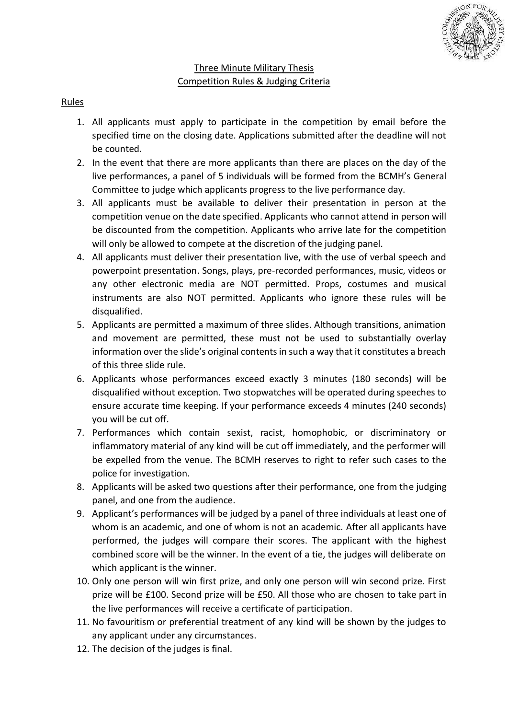

## Three Minute Military Thesis Competition Rules & Judging Criteria

## Rules

- 1. All applicants must apply to participate in the competition by email before the specified time on the closing date. Applications submitted after the deadline will not be counted.
- 2. In the event that there are more applicants than there are places on the day of the live performances, a panel of 5 individuals will be formed from the BCMH's General Committee to judge which applicants progress to the live performance day.
- 3. All applicants must be available to deliver their presentation in person at the competition venue on the date specified. Applicants who cannot attend in person will be discounted from the competition. Applicants who arrive late for the competition will only be allowed to compete at the discretion of the judging panel.
- 4. All applicants must deliver their presentation live, with the use of verbal speech and powerpoint presentation. Songs, plays, pre-recorded performances, music, videos or any other electronic media are NOT permitted. Props, costumes and musical instruments are also NOT permitted. Applicants who ignore these rules will be disqualified.
- 5. Applicants are permitted a maximum of three slides. Although transitions, animation and movement are permitted, these must not be used to substantially overlay information over the slide's original contents in such a way that it constitutes a breach of this three slide rule.
- 6. Applicants whose performances exceed exactly 3 minutes (180 seconds) will be disqualified without exception. Two stopwatches will be operated during speeches to ensure accurate time keeping. If your performance exceeds 4 minutes (240 seconds) you will be cut off.
- 7. Performances which contain sexist, racist, homophobic, or discriminatory or inflammatory material of any kind will be cut off immediately, and the performer will be expelled from the venue. The BCMH reserves to right to refer such cases to the police for investigation.
- 8. Applicants will be asked two questions after their performance, one from the judging panel, and one from the audience.
- 9. Applicant's performances will be judged by a panel of three individuals at least one of whom is an academic, and one of whom is not an academic. After all applicants have performed, the judges will compare their scores. The applicant with the highest combined score will be the winner. In the event of a tie, the judges will deliberate on which applicant is the winner.
- 10. Only one person will win first prize, and only one person will win second prize. First prize will be £100. Second prize will be £50. All those who are chosen to take part in the live performances will receive a certificate of participation.
- 11. No favouritism or preferential treatment of any kind will be shown by the judges to any applicant under any circumstances.
- 12. The decision of the judges is final.